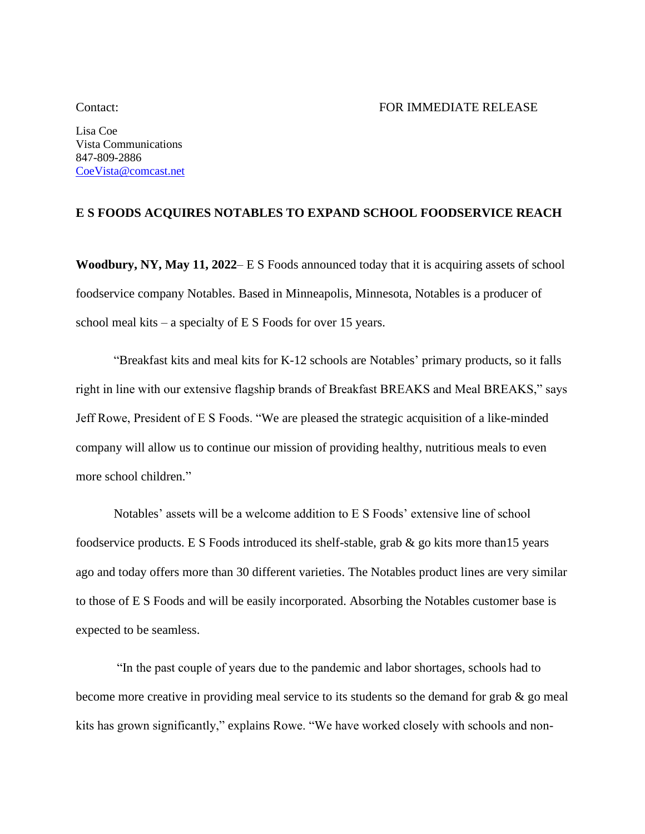Lisa Coe Vista Communications 847-809-2886 [CoeVista@comcast.net](mailto:CoeVista@comcast.net)

## **E S FOODS ACQUIRES NOTABLES TO EXPAND SCHOOL FOODSERVICE REACH**

**Woodbury, NY, May 11, 2022**– E S Foods announced today that it is acquiring assets of school foodservice company Notables. Based in Minneapolis, Minnesota, Notables is a producer of school meal kits – a specialty of E S Foods for over 15 years.

"Breakfast kits and meal kits for K-12 schools are Notables' primary products, so it falls right in line with our extensive flagship brands of Breakfast BREAKS and Meal BREAKS," says Jeff Rowe, President of E S Foods. "We are pleased the strategic acquisition of a like-minded company will allow us to continue our mission of providing healthy, nutritious meals to even more school children."

Notables' assets will be a welcome addition to E S Foods' extensive line of school foodservice products. E S Foods introduced its shelf-stable, grab & go kits more than15 years ago and today offers more than 30 different varieties. The Notables product lines are very similar to those of E S Foods and will be easily incorporated. Absorbing the Notables customer base is expected to be seamless.

"In the past couple of years due to the pandemic and labor shortages, schools had to become more creative in providing meal service to its students so the demand for grab & go meal kits has grown significantly," explains Rowe. "We have worked closely with schools and non